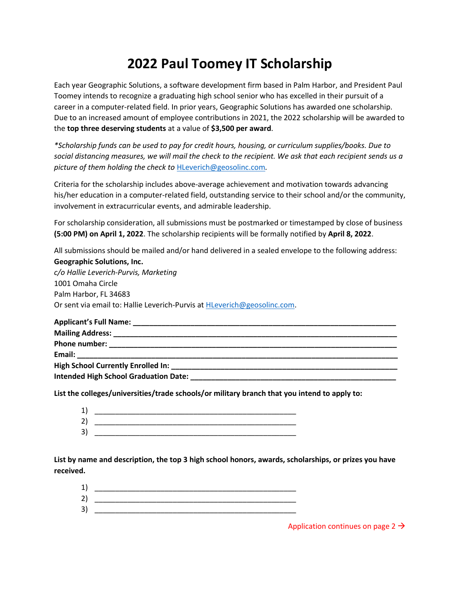## **2022 Paul Toomey IT Scholarship**

Each year Geographic Solutions, a software development firm based in Palm Harbor, and President Paul Toomey intends to recognize a graduating high school senior who has excelled in their pursuit of a career in a computer-related field. In prior years, Geographic Solutions has awarded one scholarship. Due to an increased amount of employee contributions in 2021, the 2022 scholarship will be awarded to the **top three deserving students** at a value of **\$3,500 per award**.

*\*Scholarship funds can be used to pay for credit hours, housing, or curriculum supplies/books. Due to social distancing measures, we will mail the check to the recipient. We ask that each recipient sends us a picture of them holding the check to* [HLeverich@geosolinc.com](mailto:HLeverich@geosolinc.com)*.*

Criteria for the scholarship includes above-average achievement and motivation towards advancing his/her education in a computer-related field, outstanding service to their school and/or the community, involvement in extracurricular events, and admirable leadership.

For scholarship consideration, all submissions must be postmarked or timestamped by close of business **(5:00 PM) on April 1, 2022**. The scholarship recipients will be formally notified by **April 8, 2022**.

All submissions should be mailed and/or hand delivered in a sealed envelope to the following address: **Geographic Solutions, Inc.**

*c/o Hallie Leverich-Purvis, Marketing* 1001 Omaha Circle Palm Harbor, FL 34683 Or sent via email to: Hallie Leverich-Purvis at [HLeverich@geosolinc.com.](mailto:HLeverich@geosolinc.com)

| <b>Email:</b> Email: The contract of the contract of the contract of the contract of the contract of the contract of the contract of the contract of the contract of the contract of the contract of the contract of the contract o |  |
|-------------------------------------------------------------------------------------------------------------------------------------------------------------------------------------------------------------------------------------|--|
| <b>High School Currently Enrolled In:</b>                                                                                                                                                                                           |  |
| <b>Intended High School Graduation Date:</b>                                                                                                                                                                                        |  |

**List the colleges/universities/trade schools/or military branch that you intend to apply to:**

| 1  |  |
|----|--|
| 2  |  |
| 3) |  |

**List by name and description, the top 3 high school honors, awards, scholarships, or prizes you have received.**

- $1)$
- 2) \_\_\_\_\_\_\_\_\_\_\_\_\_\_\_\_\_\_\_\_\_\_\_\_\_\_\_\_\_\_\_\_\_\_\_\_\_\_\_\_\_\_\_\_\_\_\_\_\_ 3) \_\_\_\_\_\_\_\_\_\_\_\_\_\_\_\_\_\_\_\_\_\_\_\_\_\_\_\_\_\_\_\_\_\_\_\_\_\_\_\_\_\_\_\_\_\_\_\_\_

Application continues on page 2  $\rightarrow$